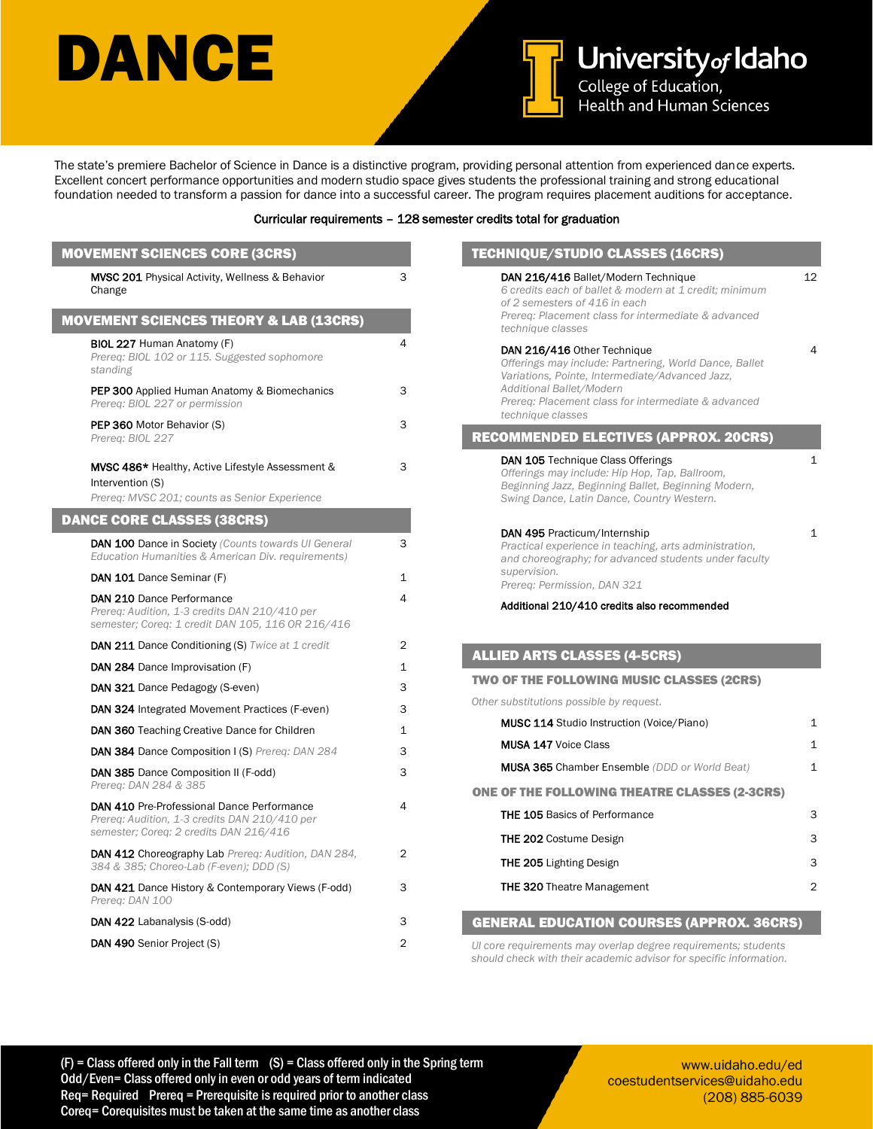## DANCE



**University of Idaho**<br>College of Education,<br>Health and Human Sciences

The state's premiere Bachelor of Science in Dance is a distinctive program, providing personal attention from experienced dance experts. Excellent concert performance opportunities and modern studio space gives students the professional training and strong educational foundation needed to transform a passion for dance into a successful career. The program requires placement auditions for acceptance.

#### Curricular requirements – 128 semester credits total for graduation

| <b>MOVEMENT SCIENCES CORE (3CRS)</b>                                                                                                  |                | TECHNIQUE/STUDIO CLASSES (16CRS)                                                                                                                                                         |                   |
|---------------------------------------------------------------------------------------------------------------------------------------|----------------|------------------------------------------------------------------------------------------------------------------------------------------------------------------------------------------|-------------------|
| <b>MVSC 201</b> Physical Activity, Wellness & Behavior<br>Change                                                                      | 3              | DAN 216/416 Ballet/Modern Technique<br>6 credits each of ballet & modern at 1 credit; minimum<br>of 2 semesters of 416 in each                                                           | $12 \overline{ }$ |
| <b>MOVEMENT SCIENCES THEORY &amp; LAB (13CRS)</b>                                                                                     |                | Prereg: Placement class for intermediate & advanced<br>technique classes                                                                                                                 |                   |
| <b>BIOL 227 Human Anatomy (F)</b><br>Prereq: BIOL 102 or 115. Suggested sophomore<br>standing                                         | $\overline{4}$ | DAN 216/416 Other Technique<br>Offerings may include: Partnering, World Dance, Ballet<br>Variations, Pointe, Intermediate/Advanced Jazz,                                                 | 4                 |
| <b>PEP 300</b> Applied Human Anatomy & Biomechanics<br>Prereg: BIOL 227 or permission                                                 | 3              | Additional Ballet/Modern<br>Prereg: Placement class for intermediate & advanced<br>technique classes                                                                                     |                   |
| PEP 360 Motor Behavior (S)<br>Prereg: BIOL 227                                                                                        | 3              | <b>RECOMMENDED ELECTIVES (APPROX. 20CRS)</b>                                                                                                                                             |                   |
| <b>MVSC 486*</b> Healthy, Active Lifestyle Assessment &<br>Intervention (S)<br>Prereq: MVSC 201; counts as Senior Experience          | 3              | DAN 105 Technique Class Offerings<br>Offerings may include: Hip Hop, Tap, Ballroom,<br>Beginning Jazz, Beginning Ballet, Beginning Modern,<br>Swing Dance, Latin Dance, Country Western. | $\mathbf{1}$      |
| <b>DANCE CORE CLASSES (38CRS)</b>                                                                                                     |                |                                                                                                                                                                                          |                   |
| DAN 100 Dance in Society (Counts towards UI General<br>Education Humanities & American Div. requirements)                             | 3              | DAN 495 Practicum/Internship<br>Practical experience in teaching, arts administration,<br>and choreography; for advanced students under faculty                                          | $\mathbf{1}$      |
| DAN 101 Dance Seminar (F)                                                                                                             | $\mathbf{1}$   | supervision.<br>Prereg: Permission, DAN 321                                                                                                                                              |                   |
| DAN 210 Dance Performance<br>Prereq: Audition, 1-3 credits DAN 210/410 per<br>semester; Coreq: 1 credit DAN 105, 116 OR 216/416       | 4              | Additional 210/410 credits also recommended                                                                                                                                              |                   |
| <b>DAN 211 Dance Conditioning (S)</b> Twice at 1 credit                                                                               | $\overline{2}$ |                                                                                                                                                                                          |                   |
| <b>DAN 284</b> Dance Improvisation (F)                                                                                                | $\mathbf{1}$   | <b>ALLIED ARTS CLASSES (4-5CRS)</b>                                                                                                                                                      |                   |
| DAN 321 Dance Pedagogy (S-even)                                                                                                       | 3              | TWO OF THE FOLLOWING MUSIC CLASSES (2CRS)                                                                                                                                                |                   |
| DAN 324 Integrated Movement Practices (F-even)                                                                                        | 3              | Other substitutions possible by request.                                                                                                                                                 |                   |
| DAN 360 Teaching Creative Dance for Children                                                                                          | $\mathbf{1}$   | <b>MUSC 114 Studio Instruction (Voice/Piano)</b>                                                                                                                                         | 1                 |
| DAN 384 Dance Composition I (S) Prereq: DAN 284                                                                                       | 3              | <b>MUSA 147 Voice Class</b>                                                                                                                                                              | $\mathbf{1}$      |
| DAN 385 Dance Composition II (F-odd)<br>Prereq: DAN 284 & 385                                                                         | 3              | <b>MUSA 365 Chamber Ensemble (DDD or World Beat)</b>                                                                                                                                     | $\mathbf{1}$      |
| DAN 410 Pre-Professional Dance Performance<br>Prereq: Audition, 1-3 credits DAN 210/410 per<br>semester; Coreg: 2 credits DAN 216/416 | $\overline{4}$ | <b>ONE OF THE FOLLOWING THEATRE CLASSES (2-3CRS)</b><br><b>THE 105 Basics of Performance</b>                                                                                             | 3                 |
| <b>DAN 412 Choreography Lab Prereq: Audition, DAN 284,</b><br>384 & 385; Choreo-Lab (F-even); DDD (S)                                 | $\overline{2}$ | <b>THE 202 Costume Design</b><br><b>THE 205 Lighting Design</b>                                                                                                                          | 3<br>3            |
| <b>DAN 421</b> Dance History & Contemporary Views (F-odd)<br>Prereq: DAN 100                                                          | 3              | <b>THE 320 Theatre Management</b>                                                                                                                                                        | $\overline{2}$    |
| DAN 422 Labanalysis (S-odd)                                                                                                           | 3              | <b>GENERAL EDUCATION COURSES (APPROX. 36CRS)</b>                                                                                                                                         |                   |
| DAN 490 Senior Project (S)                                                                                                            | 2              | Ul core requirements may overlap degree requirements; students<br>should check with their academic advisor for specific information.                                                     |                   |

www.uidaho.edu/ed coestudentservices@uidaho.edu (208) 885-6039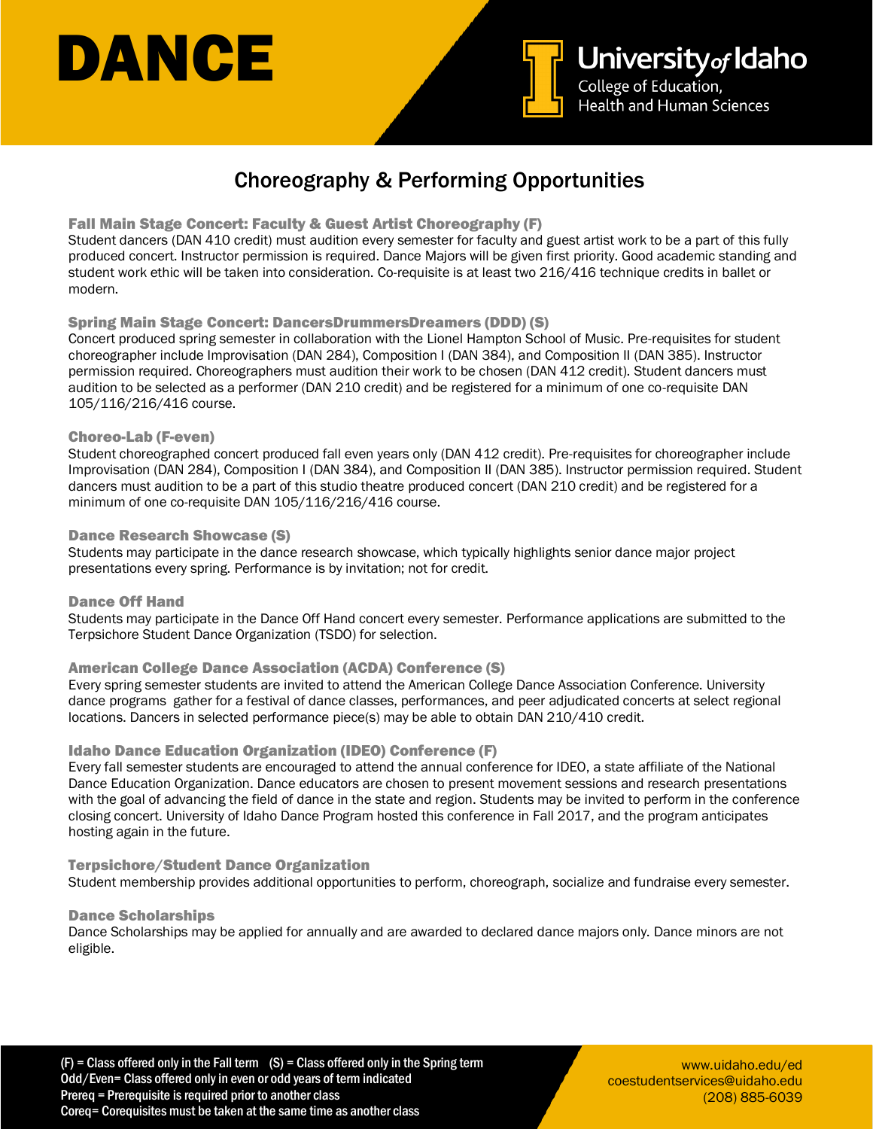# DANCE



## Choreography & Performing Opportunities

#### Fall Main Stage Concert: Faculty & Guest Artist Choreography (F)

Student dancers (DAN 410 credit) must audition every semester for faculty and guest artist work to be a part of this fully produced concert. Instructor permission is required. Dance Majors will be given first priority. Good academic standing and student work ethic will be taken into consideration. Co-requisite is at least two 216/416 technique credits in ballet or modern.

#### Spring Main Stage Concert: DancersDrummersDreamers (DDD) (S)

Concert produced spring semester in collaboration with the Lionel Hampton School of Music. Pre-requisites for student choreographer include Improvisation (DAN 284), Composition I (DAN 384), and Composition II (DAN 385). Instructor permission required. Choreographers must audition their work to be chosen (DAN 412 credit). Student dancers must audition to be selected as a performer (DAN 210 credit) and be registered for a minimum of one co-requisite DAN 105/116/216/416 course.

#### Choreo-Lab (F-even)

Student choreographed concert produced fall even years only (DAN 412 credit). Pre-requisites for choreographer include Improvisation (DAN 284), Composition I (DAN 384), and Composition II (DAN 385). Instructor permission required. Student dancers must audition to be a part of this studio theatre produced concert (DAN 210 credit) and be registered for a minimum of one co-requisite DAN 105/116/216/416 course.

#### Dance Research Showcase (S)

Students may participate in the dance research showcase, which typically highlights senior dance major project presentations every spring. Performance is by invitation; not for credit.

Dance Off Hand Students may participate in the Dance Off Hand concert every semester. Performance applications are submitted to the Terpsichore Student Dance Organization (TSDO) for selection.

#### American College Dance Association (ACDA) Conference (S)

Every spring semester students are invited to attend the American College Dance Association Conference. University dance programs gather for a festival of dance classes, performances, and peer adjudicated concerts at select regional locations. Dancers in selected performance piece(s) may be able to obtain DAN 210/410 credit.

#### Idaho Dance Education Organization (IDEO) Conference (F)

Every fall semester students are encouraged to attend the annual conference for IDEO, a state affiliate of the National Dance Education Organization. Dance educators are chosen to present movement sessions and research presentations with the goal of advancing the field of dance in the state and region. Students may be invited to perform in the conference closing concert. University of Idaho Dance Program hosted this conference in Fall 2017, and the program anticipates hosting again in the future.

#### Terpsichore/Student Dance Organization

Student membership provides additional opportunities to perform, choreograph, socialize and fundraise every semester.

#### Dance Scholarships

Dance Scholarships may be applied for annually and are awarded to declared dance majors only. Dance minors are not eligible.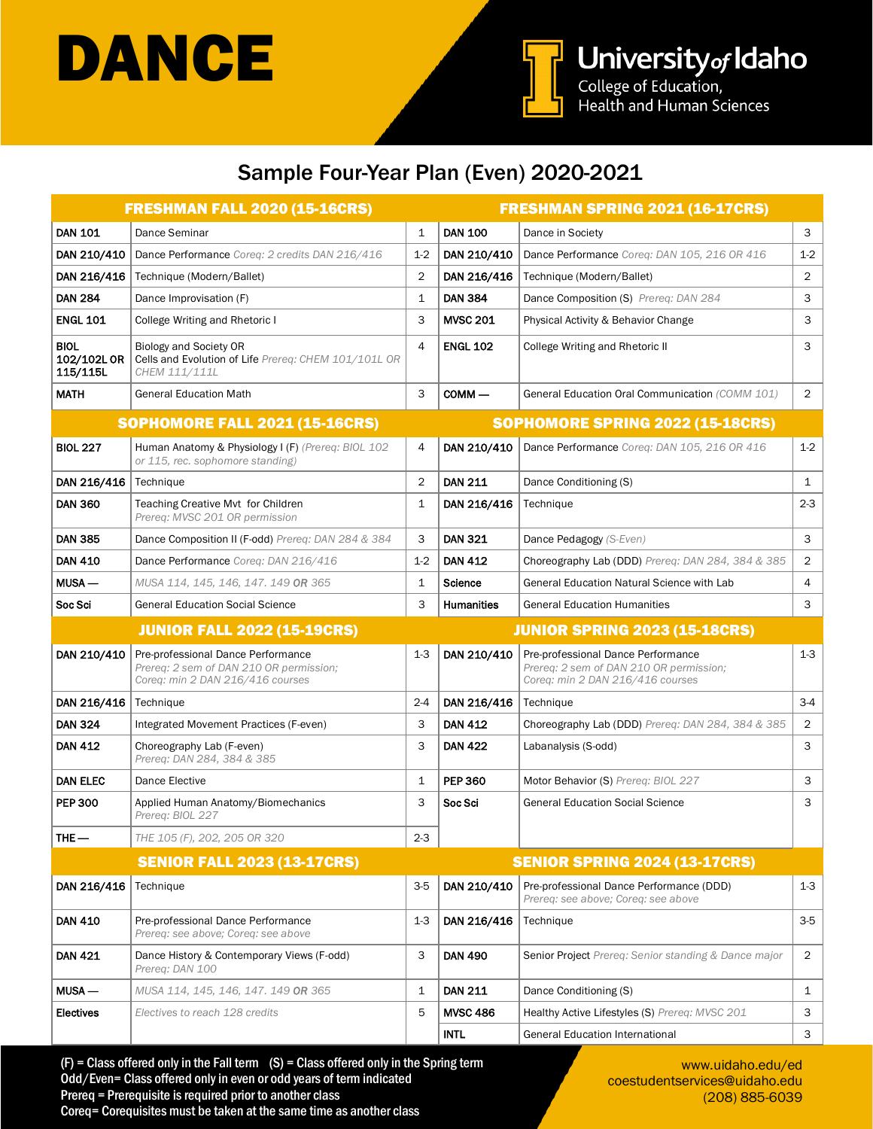



### Sample Four-Year Plan (Even) 2020-2021

|                                                                            | <b>FRESHMAN FALL 2020 (15-16CRS)</b>                                                                              |                |                   | <b>FRESHMAN SPRING 2021 (16-17CRS)</b>                                                                            |                |  |
|----------------------------------------------------------------------------|-------------------------------------------------------------------------------------------------------------------|----------------|-------------------|-------------------------------------------------------------------------------------------------------------------|----------------|--|
| <b>DAN 101</b>                                                             | Dance Seminar                                                                                                     | 1              | <b>DAN 100</b>    | Dance in Society                                                                                                  | 3              |  |
| DAN 210/410                                                                | Dance Performance Coreq: 2 credits DAN 216/416                                                                    | $1-2$          | DAN 210/410       | Dance Performance Coreg: DAN 105, 216 OR 416                                                                      | $1-2$          |  |
| DAN 216/416                                                                | Technique (Modern/Ballet)                                                                                         | $\overline{2}$ | DAN 216/416       | Technique (Modern/Ballet)                                                                                         | $\overline{2}$ |  |
| <b>DAN 284</b>                                                             | Dance Improvisation (F)                                                                                           | $\mathbf{1}$   | <b>DAN 384</b>    | Dance Composition (S) Prereq: DAN 284                                                                             | 3              |  |
| <b>ENGL 101</b>                                                            | College Writing and Rhetoric I                                                                                    | 3              | <b>MVSC 201</b>   | Physical Activity & Behavior Change                                                                               | 3              |  |
| <b>BIOL</b><br>102/102L OR<br>115/115L                                     | <b>Biology and Society OR</b><br>Cells and Evolution of Life Prereq: CHEM 101/101L OR<br>CHEM 111/111L            | $\overline{4}$ | <b>ENGL 102</b>   | College Writing and Rhetoric II                                                                                   | 3              |  |
| <b>MATH</b>                                                                | <b>General Education Math</b>                                                                                     | 3              | $COMM -$          | General Education Oral Communication (COMM 101)                                                                   | $\overline{2}$ |  |
|                                                                            | <b>SOPHOMORE FALL 2021 (15-16CRS)</b>                                                                             |                |                   | <b>SOPHOMORE SPRING 2022 (15-18CRS)</b>                                                                           |                |  |
| <b>BIOL 227</b>                                                            | Human Anatomy & Physiology I (F) (Prereq: BIOL 102<br>or 115, rec. sophomore standing)                            | 4              | DAN 210/410       | Dance Performance Coreg: DAN 105, 216 OR 416                                                                      | $1 - 2$        |  |
| DAN $216/416$   Technique                                                  |                                                                                                                   | $\overline{c}$ | <b>DAN 211</b>    | Dance Conditioning (S)                                                                                            | 1              |  |
| <b>DAN 360</b>                                                             | Teaching Creative Myt for Children<br>Prereg: MVSC 201 OR permission                                              | $\mathbf{1}$   | DAN 216/416       | Technique                                                                                                         | $2 - 3$        |  |
| <b>DAN 385</b>                                                             | Dance Composition II (F-odd) Prereg: DAN 284 & 384                                                                | 3              | <b>DAN 321</b>    | Dance Pedagogy (S-Even)                                                                                           | 3              |  |
| <b>DAN 410</b>                                                             | Dance Performance Coreg: DAN 216/416                                                                              | $1-2$          | <b>DAN 412</b>    | Choreography Lab (DDD) Prereq: DAN 284, 384 & 385                                                                 | $\overline{2}$ |  |
| MUSA-                                                                      | MUSA 114, 145, 146, 147, 149 OR 365                                                                               | $\mathbf{1}$   | Science           | General Education Natural Science with Lab                                                                        | 4              |  |
| Soc Sci                                                                    | <b>General Education Social Science</b>                                                                           | 3              | <b>Humanities</b> | <b>General Education Humanities</b>                                                                               | 3              |  |
| <b>JUNIOR FALL 2022 (15-19CRS)</b><br><b>JUNIOR SPRING 2023 (15-18CRS)</b> |                                                                                                                   |                |                   |                                                                                                                   |                |  |
|                                                                            |                                                                                                                   |                |                   |                                                                                                                   |                |  |
| DAN 210/410                                                                | Pre-professional Dance Performance<br>Prereq: 2 sem of DAN 210 OR permission;<br>Coreg: min 2 DAN 216/416 courses | $1 - 3$        | DAN 210/410       | Pre-professional Dance Performance<br>Prereq: 2 sem of DAN 210 OR permission;<br>Coreg: min 2 DAN 216/416 courses | $1-3$          |  |
| DAN 216/416                                                                | Technique                                                                                                         | $2 - 4$        | DAN 216/416       | Technique                                                                                                         | $3-4$          |  |
| <b>DAN 324</b>                                                             | Integrated Movement Practices (F-even)                                                                            | 3              | <b>DAN 412</b>    | Choreography Lab (DDD) Prereq: DAN 284, 384 & 385                                                                 | 2              |  |
| <b>DAN 412</b>                                                             | Choreography Lab (F-even)<br>Prereg: DAN 284, 384 & 385                                                           | 3              | <b>DAN 422</b>    | Labanalysis (S-odd)                                                                                               | 3              |  |
| <b>DAN ELEC</b>                                                            | Dance Elective                                                                                                    | $\mathbf{1}$   | <b>PEP 360</b>    | Motor Behavior (S) Prereg: BIOL 227                                                                               | 3              |  |
| <b>PEP 300</b>                                                             | Applied Human Anatomy/Biomechanics<br>Prereq: BIOL 227                                                            | 3              | Soc Sci           | <b>General Education Social Science</b>                                                                           | 3              |  |
| THE-                                                                       | THE 105 (F), 202, 205 OR 320                                                                                      | $2 - 3$        |                   |                                                                                                                   |                |  |
|                                                                            | <b>SENIOR FALL 2023 (13-17CRS)</b>                                                                                |                |                   | <b>SENIOR SPRING 2024 (13-17CRS)</b>                                                                              |                |  |
| DAN 216/416                                                                | Technique                                                                                                         | $3-5$          | DAN 210/410       | Pre-professional Dance Performance (DDD)<br>Prereq: see above; Coreq: see above                                   | $1 - 3$        |  |
| <b>DAN 410</b>                                                             | Pre-professional Dance Performance<br>Prereq: see above; Coreq: see above                                         | $1-3$          | DAN 216/416       | Technique                                                                                                         | $3-5$          |  |
| <b>DAN 421</b>                                                             | Dance History & Contemporary Views (F-odd)<br>Prereq: DAN 100                                                     | 3              | <b>DAN 490</b>    | Senior Project Prereq: Senior standing & Dance major                                                              | $\overline{2}$ |  |
| $MUSA -$                                                                   | MUSA 114, 145, 146, 147, 149 OR 365                                                                               | 1              | <b>DAN 211</b>    | Dance Conditioning (S)                                                                                            | 1              |  |
| <b>Electives</b>                                                           | Electives to reach 128 credits                                                                                    | 5              | <b>MVSC 486</b>   | Healthy Active Lifestyles (S) Prereq: MVSC 201                                                                    | 3              |  |

 $(F)$  = Class offered only in the Fall term  $(S)$  = Class offered only in the Spring term Odd/Even= Class offered only in even or odd years of term indicated Prereq = Prerequisite is required prior to another class Coreq= Corequisites must be taken at the same time as another class

www.uidaho.edu/ed coestudentservices@uidaho.edu (208) 885-6039